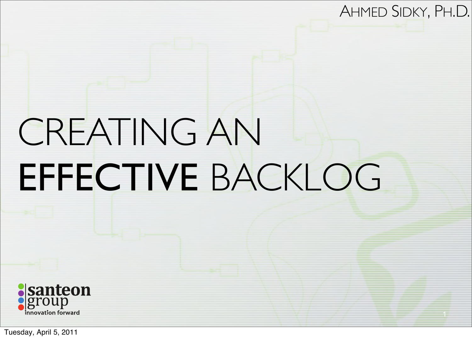#### AHMED SIDKY, PH.D.

# CREATING AN EFFECTIVE BACKLOG

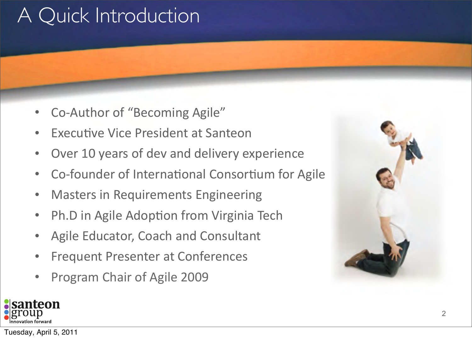# A Quick Introduction

- Co-Author of "Becoming Agile"
- **Executive Vice President at Santeon**
- Over 10 years of dev and delivery experience
- Co-founder of International Consortium for Agile
- **Masters in Requirements Engineering**
- Ph.D in Agile Adoption from Virginia Tech
- Agile Educator, Coach and Consultant
- Frequent Presenter at Conferences
- Program Chair of Agile 2009



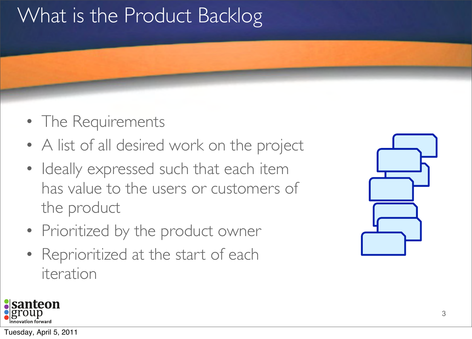# What is the Product Backlog

- The Requirements
- A list of all desired work on the project
- Ideally expressed such that each item has value to the users or customers of the product
- Prioritized by the product owner
- Reprioritized at the start of each iteration

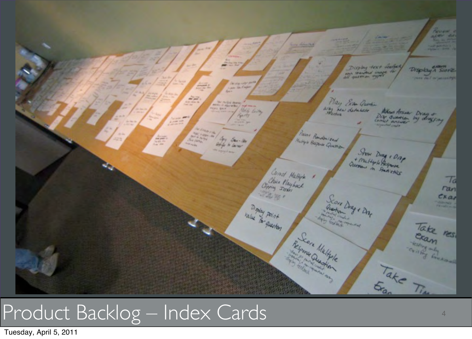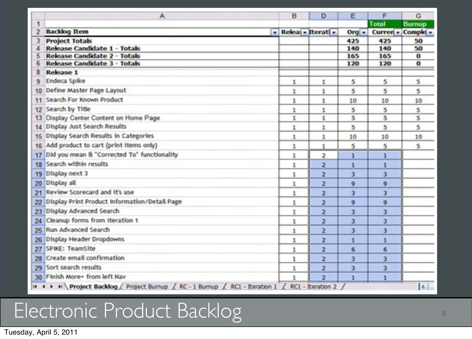|    | А                                             | B            | D                   | Ε       | F                 | G             |
|----|-----------------------------------------------|--------------|---------------------|---------|-------------------|---------------|
| 1  |                                               |              |                     |         | Total             | <b>Burnup</b> |
|    | <b>Backlog Item</b>                           |              | - Relea - Iterati - | $Orq -$ | Curren - Comple - |               |
|    | <b>Project Totals</b>                         |              |                     | 425     | 425               | 50            |
|    | Release Candidate 1 - Totals                  |              |                     | 140     | 140               | 50            |
|    | Release Candidate 2 - Totals                  |              |                     | 165     | 165               | $\bf o$       |
|    | <b>Release Candidate 3 - Totals</b>           |              |                     | 120     | 120               | $\bf{o}$      |
| 8  | <b>Release 1</b><br>Endeca Spike              |              |                     |         |                   |               |
| ۹  |                                               | 1            | 1                   | 5       | 5                 | 5             |
| 10 | Define Master Page Layout                     | $\mathbf{1}$ | 1                   | 5       | 5                 | 5             |
| 11 | Search For Known Product                      | 1            | 1                   | 10      | 10                | 10            |
| 12 | Search by Title                               | 1            | 1                   | 5       | 5                 | 5             |
| 13 | Display Center Content on Home Page           | 1            | 1                   | 5       | 5                 | 5             |
| 14 | Display Just Search Results                   | $\,$ 1       | 1                   | s       | 5                 | 5             |
| 15 | Display Search Results in Categories          | $\mathbf{1}$ | 1                   | 10      | 10                | 10            |
| 16 | Add product to cart (print items only)        | 1            | 1                   | 5       | 5                 | 5             |
| 17 | Did you mean & "Corrected To" functionality   | 1            | 2                   | 1       | 1                 |               |
| 18 | Search within results                         | 1            | 2                   | ı       |                   |               |
| 19 | Display next 3                                | $\,$         | 2                   | з       | 3                 |               |
| 20 | Display all                                   | $\mathbf{1}$ | $\overline{2}$      | 9       | 9                 |               |
| 21 | Review Scorecard and it's use                 | $\,$ 1       | $\overline{2}$      | 3       | 3                 |               |
| 22 | Display Print Product Information/Detail Page | 1            | 2                   | 9       | 9                 |               |
| 23 | Display Advanced Search                       | 1            | 2                   | 3       | 3                 |               |
| 24 | Cleanup forms from Iteration 1                | 1            | 2                   | 3       | 3                 |               |
| 25 | Run Advanced Search                           | $\mathbf{1}$ | $\overline{2}$      | 3       | 3                 |               |
| 26 | Display Header Dropdowns                      | 1            | $\overline{2}$      | 1       | 1                 |               |
| 27 | SPIKE: TeamSite                               | 1            | 2                   | 6       | 6                 |               |
| 28 | Create email confirmation                     | 1            | 2                   | 3       | 3                 |               |
| 29 | Sort search results                           | 1            | 2                   | 3       | 3                 |               |
|    | 30 Finish More+ from left Nav                 | 1            | $\overline{2}$      | 1       | 1                 |               |

# Electronic Product Backlog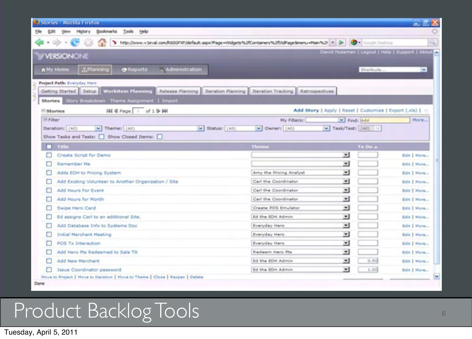| Stories - Mozilla Firefox                                                                                                                         |                                                       |                          |                                                 |  |  |  |  |
|---------------------------------------------------------------------------------------------------------------------------------------------------|-------------------------------------------------------|--------------------------|-------------------------------------------------|--|--|--|--|
| Yew Higtory Bookmarks<br>Tools Help<br>Edit                                                                                                       |                                                       |                          |                                                 |  |  |  |  |
| http://www.v3eval.com/R65GPIP/default.aspx?Page=Vildgets%2fContainers%2fStdPage8menu=Main%2f = [3-                                                |                                                       | <b>Coople Depktop</b>    | ĸ,                                              |  |  |  |  |
|                                                                                                                                                   |                                                       |                          | David Hussman   Logout   Help   Support   About |  |  |  |  |
| <b>VERSIONONE</b>                                                                                                                                 |                                                       |                          |                                                 |  |  |  |  |
| < Administration<br>A.Planning<br>A My Home<br><b>O</b> Reports                                                                                   |                                                       | Shortcuts                | $\sim$                                          |  |  |  |  |
|                                                                                                                                                   |                                                       |                          |                                                 |  |  |  |  |
| Project Path: Everyday Hero<br>Workitem Planning Release Planning Tteration Planning Iteration Tracking Retrospectives<br>Getting Started   Setup |                                                       |                          |                                                 |  |  |  |  |
| Stories Story Breakdown Theme Assignment   Import                                                                                                 |                                                       |                          |                                                 |  |  |  |  |
|                                                                                                                                                   | Add Story   Apply   Reset   Customize   Export (.xls) |                          |                                                 |  |  |  |  |
| 图 4 Page 1 of 1 D Wi<br><b>E</b> Stories<br><b>El Filter</b>                                                                                      |                                                       |                          | More                                            |  |  |  |  |
|                                                                                                                                                   | My Filters:                                           | V Find: Add              |                                                 |  |  |  |  |
| V Owner: (All)<br>v Task/Test: [(All)<br>Iteration: (All)<br>v Theme: (All)<br>V Status: (All)<br>Show Tasks and Tests: Show Closed Items:        |                                                       |                          |                                                 |  |  |  |  |
| Title                                                                                                                                             | <b>Theme</b>                                          | To Do A                  |                                                 |  |  |  |  |
| Create Script for Demo                                                                                                                            |                                                       | Ξ                        | Edit   Mare                                     |  |  |  |  |
| Remember Ne                                                                                                                                       |                                                       | $\overline{ }$           | Edit   More                                     |  |  |  |  |
| Adds EDH to Pricing System                                                                                                                        | Arry the Pricing Analyst                              | 회                        | Edit   More                                     |  |  |  |  |
| Add Existing Volunteer to Another Organization / Site                                                                                             | Carl the Coordinator                                  | ×                        | <b>Bdit   More</b>                              |  |  |  |  |
| Add Hours For Event                                                                                                                               | Carl the Coordinator                                  | 픠                        | Edit   More                                     |  |  |  |  |
| Add Hours for Month                                                                                                                               | Carl the Coordinator                                  | $\blacksquare$           | <b>Edit   More</b>                              |  |  |  |  |
| Swipe Hero Card                                                                                                                                   | Create POS Emulator                                   | 회                        | Edit   More                                     |  |  |  |  |
| Ed assigns Carl to an additional Site.                                                                                                            | Ed the EDH Admin                                      | $\overline{\phantom{a}}$ | <b>Edit   Mare</b>                              |  |  |  |  |
| Add Database Info to Systems Doc                                                                                                                  | Everyday Hero                                         | Ξ                        | Edit   More                                     |  |  |  |  |
| <b>Initial Merchant Meeting</b>                                                                                                                   | <b>Everyday Hero</b>                                  | ×                        | Edit   Mare                                     |  |  |  |  |
| с<br>POS Tx Interaction                                                                                                                           | Everyday Hero                                         | $\blacksquare$           | <b>Edit   More</b>                              |  |  |  |  |
| Add Hero Pts Redeemed to Sale TX                                                                                                                  | Redeem Hero Pts                                       | ᅬ                        | Edit   More                                     |  |  |  |  |
| Add New Merchant                                                                                                                                  | Ed the EDH Admin.                                     | $\bullet$<br>0.50        | Edit   Mare                                     |  |  |  |  |
| Issue Coordinator password                                                                                                                        | Ed the EDH Admin                                      | ᅬ<br>1.00                | Edit: More                                      |  |  |  |  |
| Move to Project   Move to Iteration   Move to Theme   Close   Reopen   Delete                                                                     |                                                       |                          |                                                 |  |  |  |  |
| Done                                                                                                                                              |                                                       |                          |                                                 |  |  |  |  |

# Product Backlog Tools 66 and 100 million of 66 and 100 million of 66 and 100 million of 66 and 100 million of 6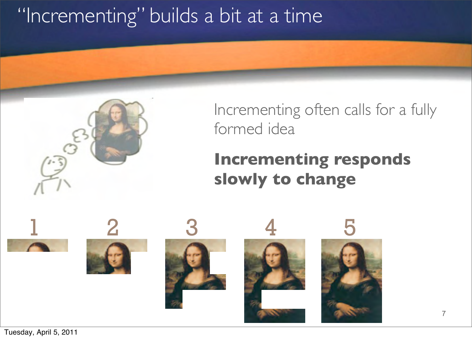# "Incrementing" builds a bit at a time

#### Incrementing often calls for a fully formed idea

### **Incrementing responds slowly to change**

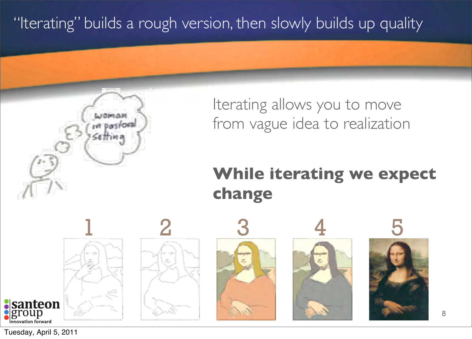"Iterating" builds a rough version, then slowly builds up quality



#### **While iterating we expect change**

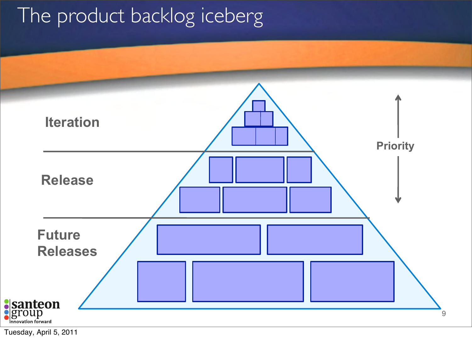# The product backlog iceberg

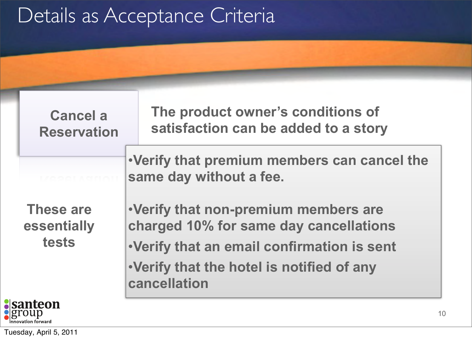# Details as Acceptance Criteria

**Cancel a Reservation** **The product owner's conditions of satisfaction can be added to a story**

•**Verify that premium members can cancel the same day without a fee.**

**These are essentially tests**



•**Verify that non-premium members are charged 10% for same day cancellations** •**Verify that an email confirmation is sent** •**Verify that the hotel is notified of any cancellation**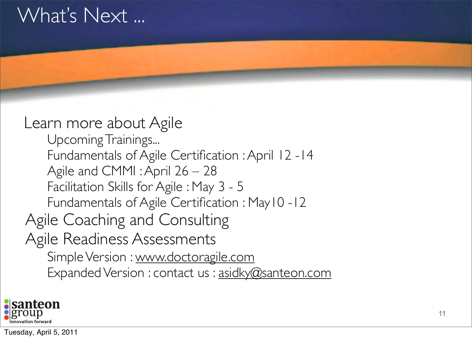## What's Next ...

#### Upcoming Trainings... Fundamentals of Agile Certification : April 12 -14 Agile and CMMI : April 26 – 28 Facilitation Skills for Agile : May 3 - 5 Fundamentals of Agile Certification : May10 -12 Agile Coaching and Consulting Agile Readiness Assessments Simple Version : [www.doctoragile.com](http://www.doctoragile.com) Expanded Version : contact us : [asidky@santeon.com](mailto:asidky@santeon.com) Learn more about Agile